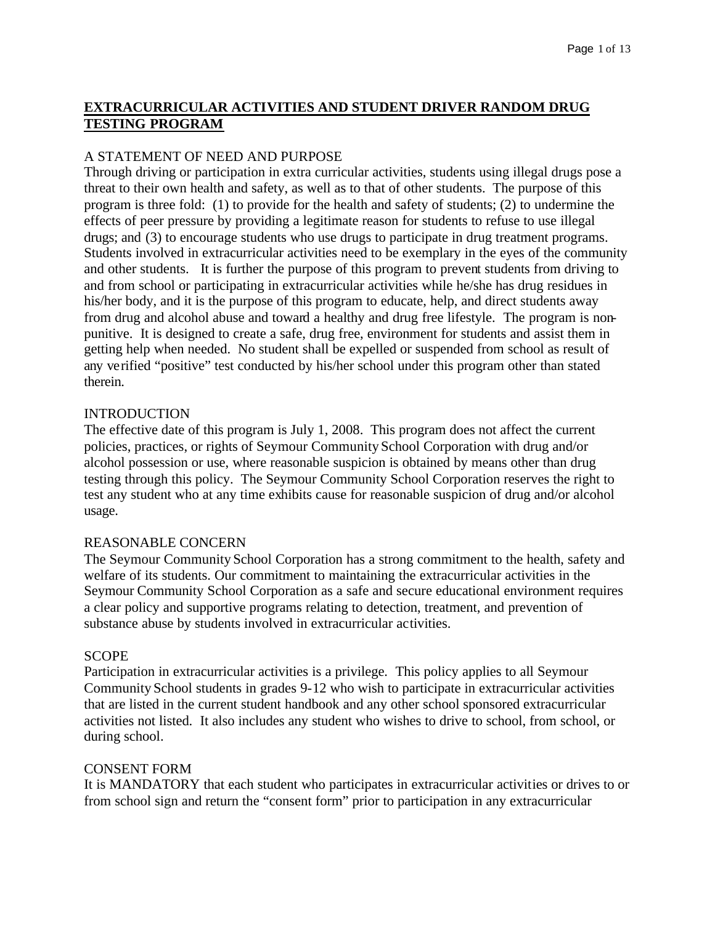# **EXTRACURRICULAR ACTIVITIES AND STUDENT DRIVER RANDOM DRUG TESTING PROGRAM**

## A STATEMENT OF NEED AND PURPOSE

Through driving or participation in extra curricular activities, students using illegal drugs pose a threat to their own health and safety, as well as to that of other students. The purpose of this program is three fold: (1) to provide for the health and safety of students; (2) to undermine the effects of peer pressure by providing a legitimate reason for students to refuse to use illegal drugs; and (3) to encourage students who use drugs to participate in drug treatment programs. Students involved in extracurricular activities need to be exemplary in the eyes of the community and other students. It is further the purpose of this program to prevent students from driving to and from school or participating in extracurricular activities while he/she has drug residues in his/her body, and it is the purpose of this program to educate, help, and direct students away from drug and alcohol abuse and toward a healthy and drug free lifestyle. The program is nonpunitive. It is designed to create a safe, drug free, environment for students and assist them in getting help when needed. No student shall be expelled or suspended from school as result of any verified "positive" test conducted by his/her school under this program other than stated therein.

#### INTRODUCTION

The effective date of this program is July 1, 2008. This program does not affect the current policies, practices, or rights of Seymour Community School Corporation with drug and/or alcohol possession or use, where reasonable suspicion is obtained by means other than drug testing through this policy. The Seymour Community School Corporation reserves the right to test any student who at any time exhibits cause for reasonable suspicion of drug and/or alcohol usage.

#### REASONABLE CONCERN

The Seymour Community School Corporation has a strong commitment to the health, safety and welfare of its students. Our commitment to maintaining the extracurricular activities in the Seymour Community School Corporation as a safe and secure educational environment requires a clear policy and supportive programs relating to detection, treatment, and prevention of substance abuse by students involved in extracurricular activities.

#### **SCOPE**

Participation in extracurricular activities is a privilege. This policy applies to all Seymour Community School students in grades 9-12 who wish to participate in extracurricular activities that are listed in the current student handbook and any other school sponsored extracurricular activities not listed. It also includes any student who wishes to drive to school, from school, or during school.

#### CONSENT FORM

It is MANDATORY that each student who participates in extracurricular activities or drives to or from school sign and return the "consent form" prior to participation in any extracurricular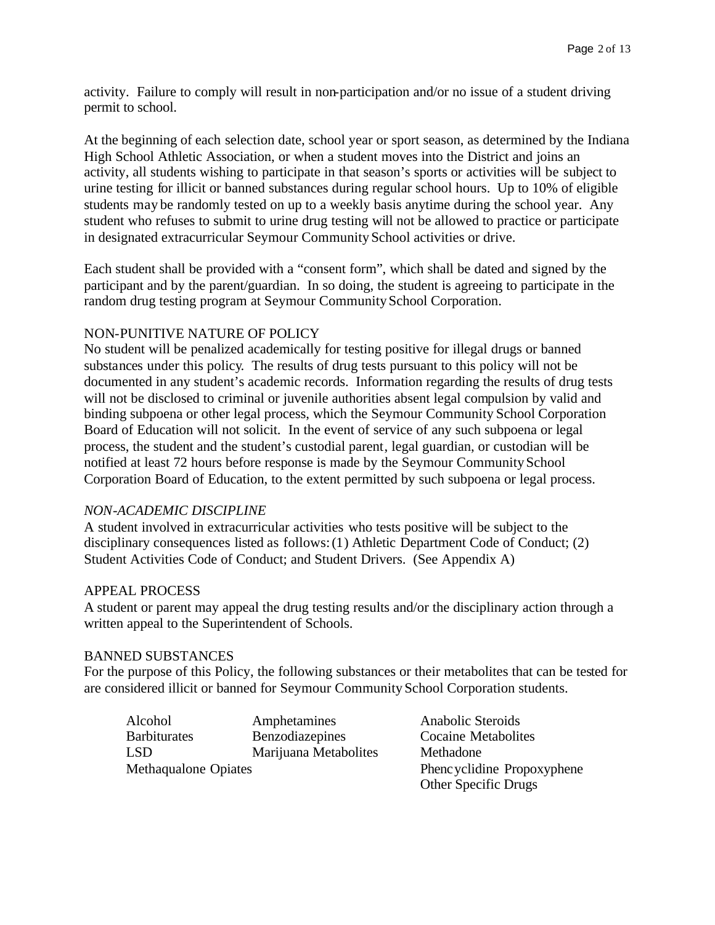activity. Failure to comply will result in non-participation and/or no issue of a student driving permit to school.

At the beginning of each selection date, school year or sport season, as determined by the Indiana High School Athletic Association, or when a student moves into the District and joins an activity, all students wishing to participate in that season's sports or activities will be subject to urine testing for illicit or banned substances during regular school hours. Up to 10% of eligible students may be randomly tested on up to a weekly basis anytime during the school year. Any student who refuses to submit to urine drug testing will not be allowed to practice or participate in designated extracurricular Seymour Community School activities or drive.

Each student shall be provided with a "consent form", which shall be dated and signed by the participant and by the parent/guardian. In so doing, the student is agreeing to participate in the random drug testing program at Seymour Community School Corporation.

## NON-PUNITIVE NATURE OF POLICY

No student will be penalized academically for testing positive for illegal drugs or banned substances under this policy. The results of drug tests pursuant to this policy will not be documented in any student's academic records. Information regarding the results of drug tests will not be disclosed to criminal or juvenile authorities absent legal compulsion by valid and binding subpoena or other legal process, which the Seymour Community School Corporation Board of Education will not solicit. In the event of service of any such subpoena or legal process, the student and the student's custodial parent, legal guardian, or custodian will be notified at least 72 hours before response is made by the Seymour Community School Corporation Board of Education, to the extent permitted by such subpoena or legal process.

#### *NON-ACADEMIC DISCIPLINE*

A student involved in extracurricular activities who tests positive will be subject to the disciplinary consequences listed as follows: (1) Athletic Department Code of Conduct; (2) Student Activities Code of Conduct; and Student Drivers. (See Appendix A)

#### APPEAL PROCESS

A student or parent may appeal the drug testing results and/or the disciplinary action through a written appeal to the Superintendent of Schools.

#### BANNED SUBSTANCES

For the purpose of this Policy, the following substances or their metabolites that can be tested for are considered illicit or banned for Seymour Community School Corporation students.

Alcohol Amphetamines Anabolic Steroids Barbiturates Benzodiazepines Cocaine Metabolites LSD Marijuana Metabolites Methadone Methaqualone Opiates Phencyclidine Propoxyphene

Other Specific Drugs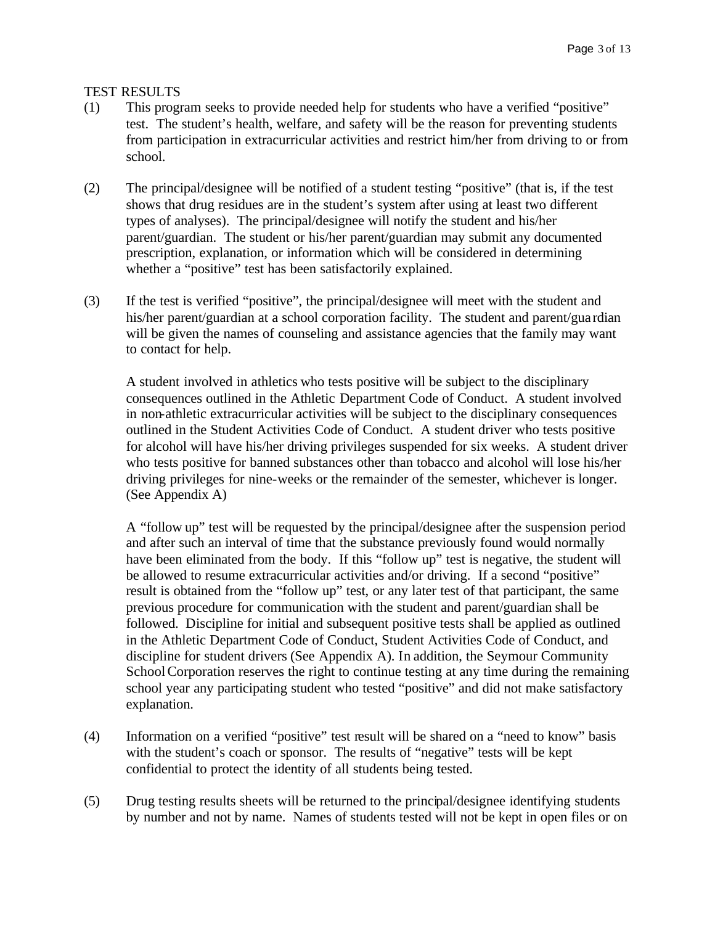TEST RESULTS

- (1) This program seeks to provide needed help for students who have a verified "positive" test. The student's health, welfare, and safety will be the reason for preventing students from participation in extracurricular activities and restrict him/her from driving to or from school.
- (2) The principal/designee will be notified of a student testing "positive" (that is, if the test shows that drug residues are in the student's system after using at least two different types of analyses). The principal/designee will notify the student and his/her parent/guardian. The student or his/her parent/guardian may submit any documented prescription, explanation, or information which will be considered in determining whether a "positive" test has been satisfactorily explained.
- (3) If the test is verified "positive", the principal/designee will meet with the student and his/her parent/guardian at a school corporation facility. The student and parent/gua rdian will be given the names of counseling and assistance agencies that the family may want to contact for help.

A student involved in athletics who tests positive will be subject to the disciplinary consequences outlined in the Athletic Department Code of Conduct. A student involved in non-athletic extracurricular activities will be subject to the disciplinary consequences outlined in the Student Activities Code of Conduct. A student driver who tests positive for alcohol will have his/her driving privileges suspended for six weeks. A student driver who tests positive for banned substances other than tobacco and alcohol will lose his/her driving privileges for nine-weeks or the remainder of the semester, whichever is longer. (See Appendix A)

A "follow up" test will be requested by the principal/designee after the suspension period and after such an interval of time that the substance previously found would normally have been eliminated from the body. If this "follow up" test is negative, the student will be allowed to resume extracurricular activities and/or driving. If a second "positive" result is obtained from the "follow up" test, or any later test of that participant, the same previous procedure for communication with the student and parent/guardian shall be followed. Discipline for initial and subsequent positive tests shall be applied as outlined in the Athletic Department Code of Conduct, Student Activities Code of Conduct, and discipline for student drivers (See Appendix A). In addition, the Seymour Community School Corporation reserves the right to continue testing at any time during the remaining school year any participating student who tested "positive" and did not make satisfactory explanation.

- (4) Information on a verified "positive" test result will be shared on a "need to know" basis with the student's coach or sponsor. The results of "negative" tests will be kept confidential to protect the identity of all students being tested.
- (5) Drug testing results sheets will be returned to the principal/designee identifying students by number and not by name. Names of students tested will not be kept in open files or on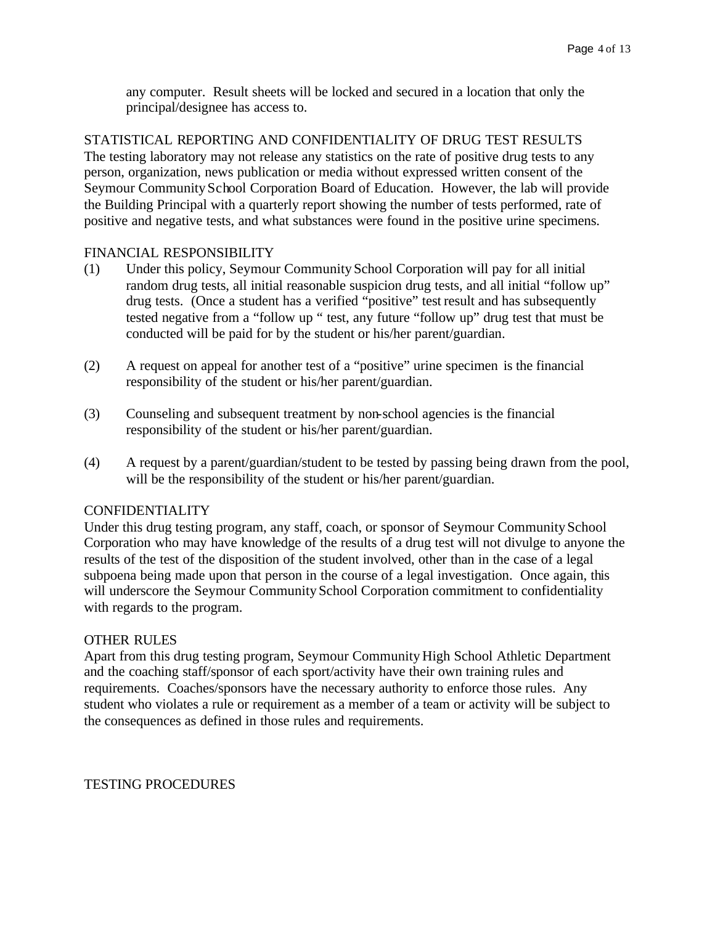any computer. Result sheets will be locked and secured in a location that only the principal/designee has access to.

STATISTICAL REPORTING AND CONFIDENTIALITY OF DRUG TEST RESULTS The testing laboratory may not release any statistics on the rate of positive drug tests to any person, organization, news publication or media without expressed written consent of the Seymour Community School Corporation Board of Education. However, the lab will provide the Building Principal with a quarterly report showing the number of tests performed, rate of positive and negative tests, and what substances were found in the positive urine specimens.

#### FINANCIAL RESPONSIBILITY

- (1) Under this policy, Seymour Community School Corporation will pay for all initial random drug tests, all initial reasonable suspicion drug tests, and all initial "follow up" drug tests. (Once a student has a verified "positive" test result and has subsequently tested negative from a "follow up " test, any future "follow up" drug test that must be conducted will be paid for by the student or his/her parent/guardian.
- (2) A request on appeal for another test of a "positive" urine specimen is the financial responsibility of the student or his/her parent/guardian.
- (3) Counseling and subsequent treatment by non-school agencies is the financial responsibility of the student or his/her parent/guardian.
- (4) A request by a parent/guardian/student to be tested by passing being drawn from the pool, will be the responsibility of the student or his/her parent/guardian.

#### CONFIDENTIALITY

Under this drug testing program, any staff, coach, or sponsor of Seymour Community School Corporation who may have knowledge of the results of a drug test will not divulge to anyone the results of the test of the disposition of the student involved, other than in the case of a legal subpoena being made upon that person in the course of a legal investigation. Once again, this will underscore the Seymour Community School Corporation commitment to confidentiality with regards to the program.

#### OTHER RULES

Apart from this drug testing program, Seymour Community High School Athletic Department and the coaching staff/sponsor of each sport/activity have their own training rules and requirements. Coaches/sponsors have the necessary authority to enforce those rules. Any student who violates a rule or requirement as a member of a team or activity will be subject to the consequences as defined in those rules and requirements.

#### TESTING PROCEDURES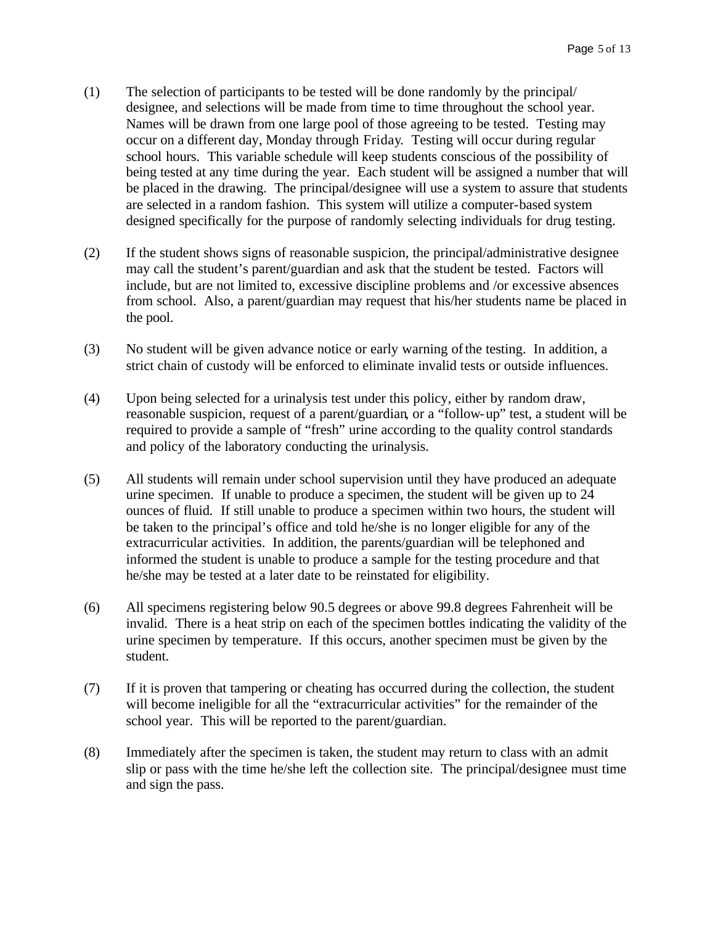- (1) The selection of participants to be tested will be done randomly by the principal/ designee, and selections will be made from time to time throughout the school year. Names will be drawn from one large pool of those agreeing to be tested. Testing may occur on a different day, Monday through Friday. Testing will occur during regular school hours.This variable schedule will keep students conscious of the possibility of being tested at any time during the year. Each student will be assigned a number that will be placed in the drawing. The principal/designee will use a system to assure that students are selected in a random fashion. This system will utilize a computer-based system designed specifically for the purpose of randomly selecting individuals for drug testing.
- (2) If the student shows signs of reasonable suspicion, the principal/administrative designee may call the student's parent/guardian and ask that the student be tested. Factors will include, but are not limited to, excessive discipline problems and /or excessive absences from school. Also, a parent/guardian may request that his/her students name be placed in the pool.
- (3) No student will be given advance notice or early warning of the testing. In addition, a strict chain of custody will be enforced to eliminate invalid tests or outside influences.
- (4) Upon being selected for a urinalysis test under this policy, either by random draw, reasonable suspicion, request of a parent/guardian, or a "follow-up" test, a student will be required to provide a sample of "fresh" urine according to the quality control standards and policy of the laboratory conducting the urinalysis.
- (5) All students will remain under school supervision until they have produced an adequate urine specimen. If unable to produce a specimen, the student will be given up to 24 ounces of fluid. If still unable to produce a specimen within two hours, the student will be taken to the principal's office and told he/she is no longer eligible for any of the extracurricular activities. In addition, the parents/guardian will be telephoned and informed the student is unable to produce a sample for the testing procedure and that he/she may be tested at a later date to be reinstated for eligibility.
- (6) All specimens registering below 90.5 degrees or above 99.8 degrees Fahrenheit will be invalid. There is a heat strip on each of the specimen bottles indicating the validity of the urine specimen by temperature. If this occurs, another specimen must be given by the student.
- (7) If it is proven that tampering or cheating has occurred during the collection, the student will become ineligible for all the "extracurricular activities" for the remainder of the school year. This will be reported to the parent/guardian.
- (8) Immediately after the specimen is taken, the student may return to class with an admit slip or pass with the time he/she left the collection site. The principal/designee must time and sign the pass.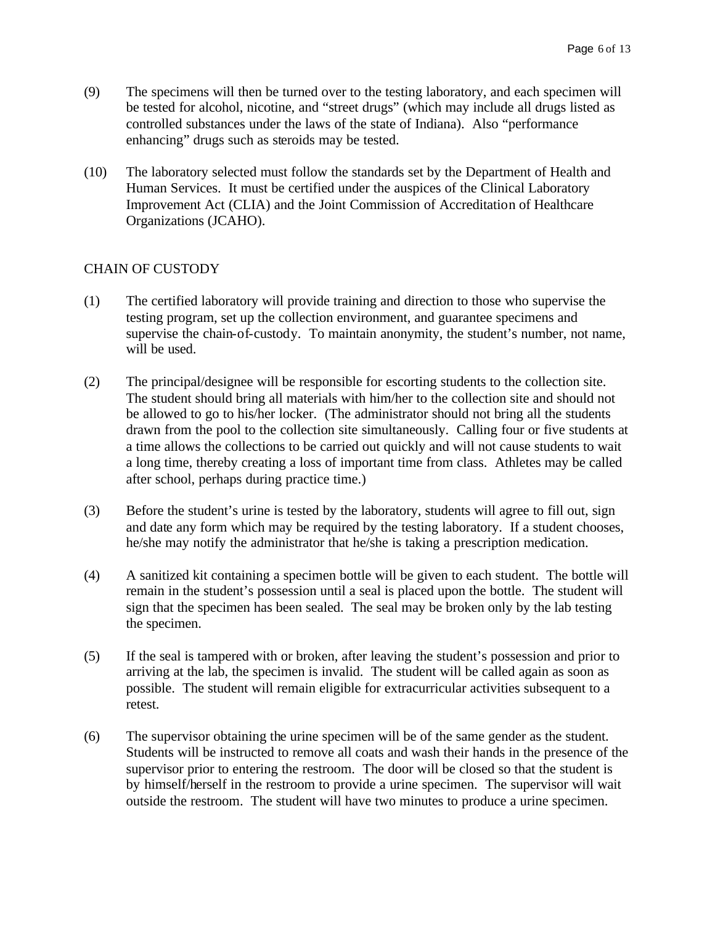- (9) The specimens will then be turned over to the testing laboratory, and each specimen will be tested for alcohol, nicotine, and "street drugs" (which may include all drugs listed as controlled substances under the laws of the state of Indiana). Also "performance enhancing" drugs such as steroids may be tested.
- (10) The laboratory selected must follow the standards set by the Department of Health and Human Services. It must be certified under the auspices of the Clinical Laboratory Improvement Act (CLIA) and the Joint Commission of Accreditation of Healthcare Organizations (JCAHO).

# CHAIN OF CUSTODY

- (1) The certified laboratory will provide training and direction to those who supervise the testing program, set up the collection environment, and guarantee specimens and supervise the chain-of-custody. To maintain anonymity, the student's number, not name, will be used.
- (2) The principal/designee will be responsible for escorting students to the collection site. The student should bring all materials with him/her to the collection site and should not be allowed to go to his/her locker. (The administrator should not bring all the students drawn from the pool to the collection site simultaneously. Calling four or five students at a time allows the collections to be carried out quickly and will not cause students to wait a long time, thereby creating a loss of important time from class. Athletes may be called after school, perhaps during practice time.)
- (3) Before the student's urine is tested by the laboratory, students will agree to fill out, sign and date any form which may be required by the testing laboratory. If a student chooses, he/she may notify the administrator that he/she is taking a prescription medication.
- (4) A sanitized kit containing a specimen bottle will be given to each student. The bottle will remain in the student's possession until a seal is placed upon the bottle. The student will sign that the specimen has been sealed. The seal may be broken only by the lab testing the specimen.
- (5) If the seal is tampered with or broken, after leaving the student's possession and prior to arriving at the lab, the specimen is invalid. The student will be called again as soon as possible. The student will remain eligible for extracurricular activities subsequent to a retest.
- (6) The supervisor obtaining the urine specimen will be of the same gender as the student. Students will be instructed to remove all coats and wash their hands in the presence of the supervisor prior to entering the restroom. The door will be closed so that the student is by himself/herself in the restroom to provide a urine specimen. The supervisor will wait outside the restroom. The student will have two minutes to produce a urine specimen.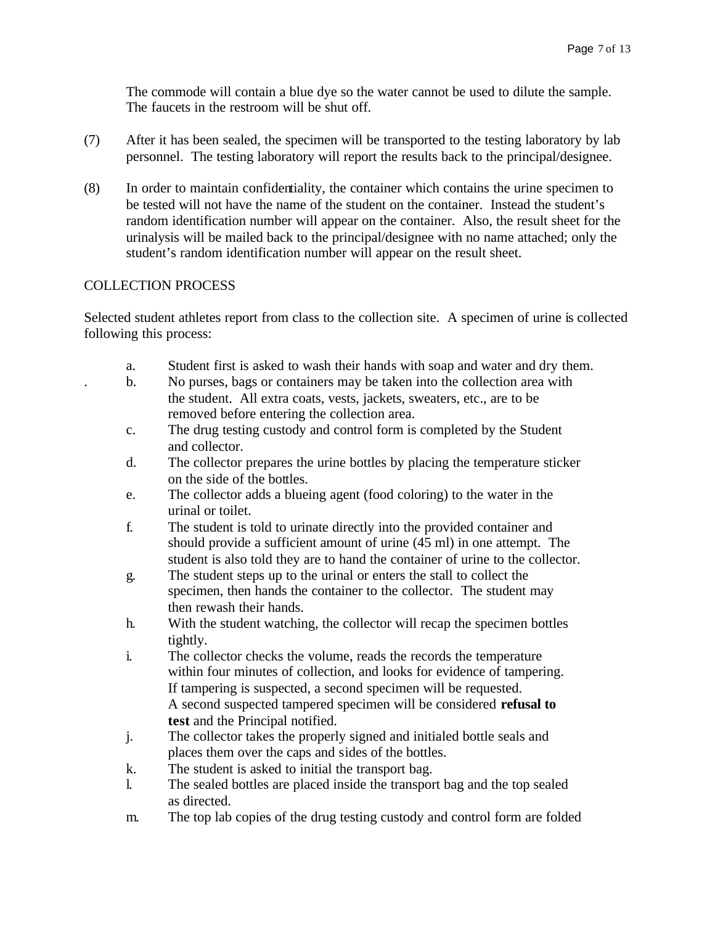The commode will contain a blue dye so the water cannot be used to dilute the sample. The faucets in the restroom will be shut off.

- (7) After it has been sealed, the specimen will be transported to the testing laboratory by lab personnel. The testing laboratory will report the results back to the principal/designee.
- (8) In order to maintain confidentiality, the container which contains the urine specimen to be tested will not have the name of the student on the container. Instead the student's random identification number will appear on the container. Also, the result sheet for the urinalysis will be mailed back to the principal/designee with no name attached; only the student's random identification number will appear on the result sheet.

## COLLECTION PROCESS

Selected student athletes report from class to the collection site. A specimen of urine is collected following this process:

- a. Student first is asked to wash their hands with soap and water and dry them.
- . b. No purses, bags or containers may be taken into the collection area with the student. All extra coats, vests, jackets, sweaters, etc., are to be removed before entering the collection area.
- c. The drug testing custody and control form is completed by the Student and collector.
- d. The collector prepares the urine bottles by placing the temperature sticker on the side of the bottles.
- e. The collector adds a blueing agent (food coloring) to the water in the urinal or toilet.
- f. The student is told to urinate directly into the provided container and should provide a sufficient amount of urine (45 ml) in one attempt. The student is also told they are to hand the container of urine to the collector.
- g. The student steps up to the urinal or enters the stall to collect the specimen, then hands the container to the collector. The student may then rewash their hands.
- h. With the student watching, the collector will recap the specimen bottles tightly.
- i. The collector checks the volume, reads the records the temperature within four minutes of collection, and looks for evidence of tampering. If tampering is suspected, a second specimen will be requested. A second suspected tampered specimen will be considered **refusal to test** and the Principal notified.
- j. The collector takes the properly signed and initialed bottle seals and places them over the caps and sides of the bottles.
- k. The student is asked to initial the transport bag.
- l. The sealed bottles are placed inside the transport bag and the top sealed as directed.
- m. The top lab copies of the drug testing custody and control form are folded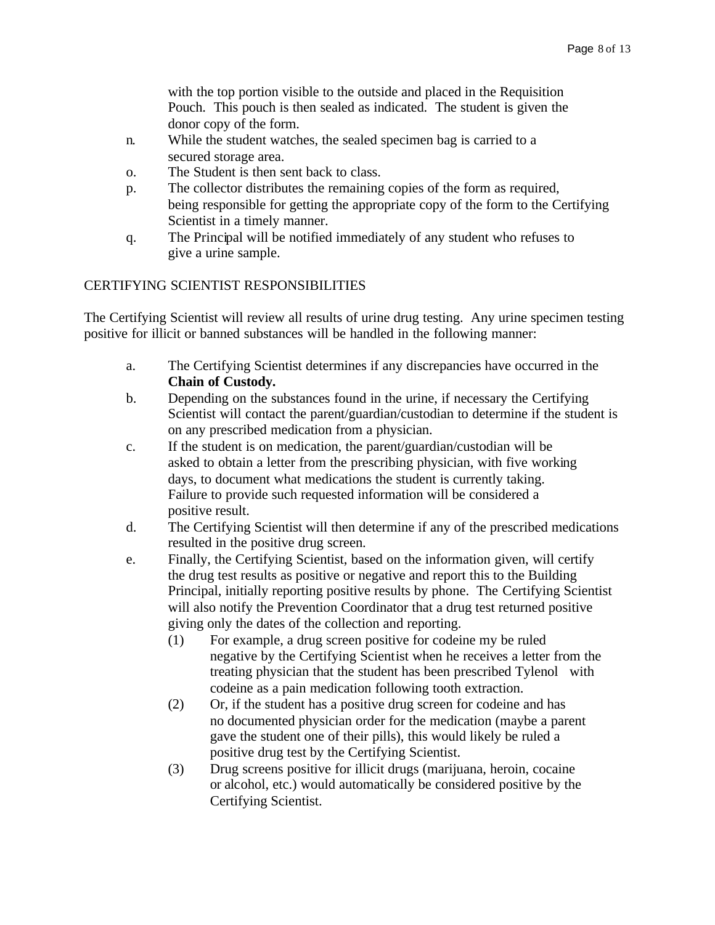with the top portion visible to the outside and placed in the Requisition Pouch. This pouch is then sealed as indicated. The student is given the donor copy of the form.

- n. While the student watches, the sealed specimen bag is carried to a secured storage area.
- o. The Student is then sent back to class.
- p. The collector distributes the remaining copies of the form as required, being responsible for getting the appropriate copy of the form to the Certifying Scientist in a timely manner.
- q. The Principal will be notified immediately of any student who refuses to give a urine sample.

## CERTIFYING SCIENTIST RESPONSIBILITIES

The Certifying Scientist will review all results of urine drug testing. Any urine specimen testing positive for illicit or banned substances will be handled in the following manner:

- a. The Certifying Scientist determines if any discrepancies have occurred in the **Chain of Custody.**
- b. Depending on the substances found in the urine, if necessary the Certifying Scientist will contact the parent/guardian/custodian to determine if the student is on any prescribed medication from a physician.
- c. If the student is on medication, the parent/guardian/custodian will be asked to obtain a letter from the prescribing physician, with five working days, to document what medications the student is currently taking. Failure to provide such requested information will be considered a positive result.
- d. The Certifying Scientist will then determine if any of the prescribed medications resulted in the positive drug screen.
- e. Finally, the Certifying Scientist, based on the information given, will certify the drug test results as positive or negative and report this to the Building Principal, initially reporting positive results by phone. The Certifying Scientist will also notify the Prevention Coordinator that a drug test returned positive giving only the dates of the collection and reporting.
	- (1) For example, a drug screen positive for codeine my be ruled negative by the Certifying Scientist when he receives a letter from the treating physician that the student has been prescribed Tylenol with codeine as a pain medication following tooth extraction.
	- (2) Or, if the student has a positive drug screen for codeine and has no documented physician order for the medication (maybe a parent gave the student one of their pills), this would likely be ruled a positive drug test by the Certifying Scientist.
	- (3) Drug screens positive for illicit drugs (marijuana, heroin, cocaine or alcohol, etc.) would automatically be considered positive by the Certifying Scientist.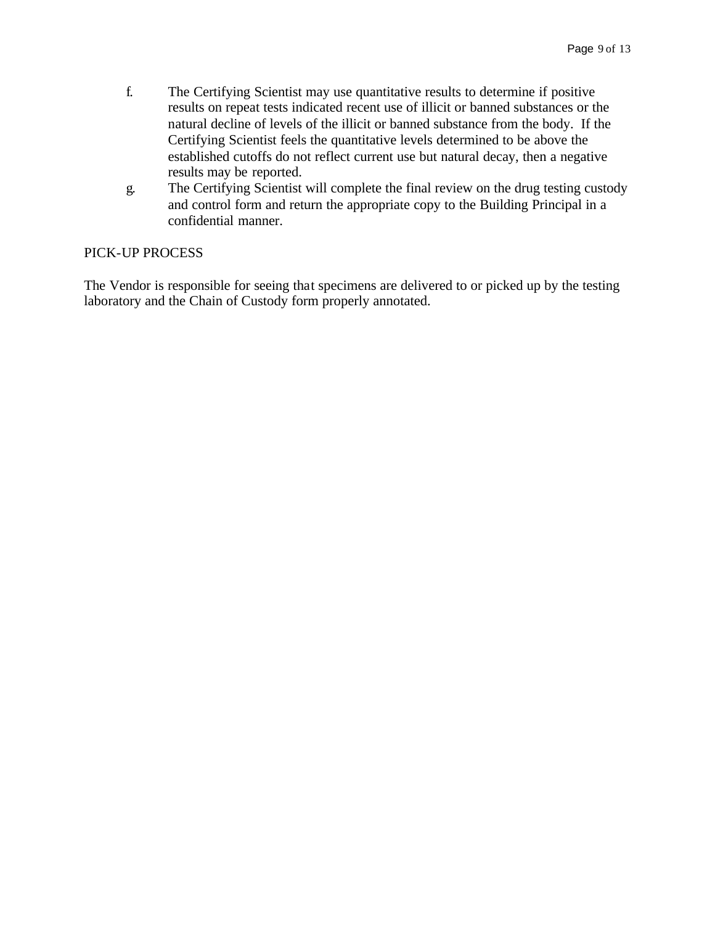- f. The Certifying Scientist may use quantitative results to determine if positive results on repeat tests indicated recent use of illicit or banned substances or the natural decline of levels of the illicit or banned substance from the body. If the Certifying Scientist feels the quantitative levels determined to be above the established cutoffs do not reflect current use but natural decay, then a negative results may be reported.
- g. The Certifying Scientist will complete the final review on the drug testing custody and control form and return the appropriate copy to the Building Principal in a confidential manner.

### PICK-UP PROCESS

The Vendor is responsible for seeing that specimens are delivered to or picked up by the testing laboratory and the Chain of Custody form properly annotated.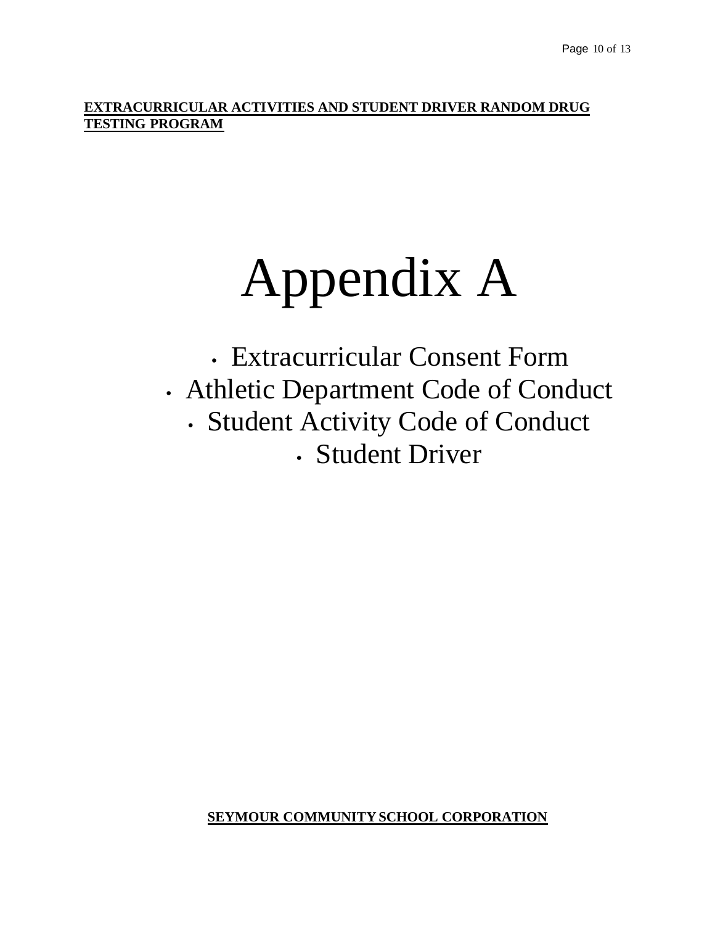**EXTRACURRICULAR ACTIVITIES AND STUDENT DRIVER RANDOM DRUG TESTING PROGRAM**

# Appendix A

**·** Extracurricular Consent Form **·** Athletic Department Code of Conduct **·** Student Activity Code of Conduct **·** Student Driver

**SEYMOUR COMMUNITY SCHOOL CORPORATION**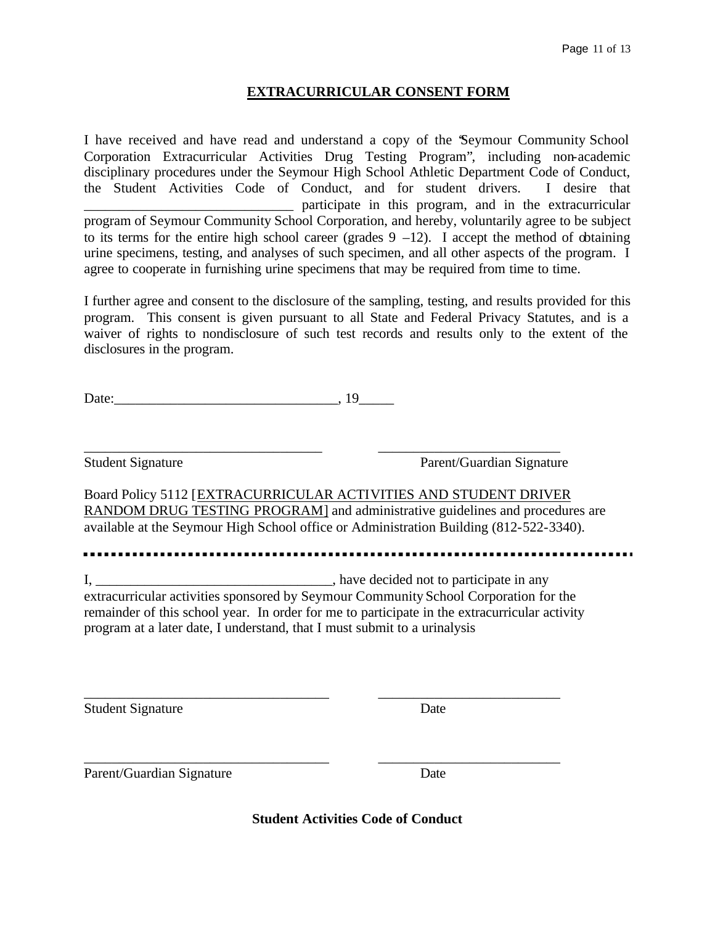#### **EXTRACURRICULAR CONSENT FORM**

I have received and have read and understand a copy of the "Seymour Community School Corporation Extracurricular Activities Drug Testing Program", including non-academic disciplinary procedures under the Seymour High School Athletic Department Code of Conduct, the Student Activities Code of Conduct, and for student drivers. I desire that \_\_\_\_\_\_\_\_\_\_\_\_\_\_\_\_\_\_\_\_\_\_\_\_\_\_\_\_\_\_ participate in this program, and in the extracurricular program of Seymour Community School Corporation, and hereby, voluntarily agree to be subject to its terms for the entire high school career (grades  $9 -12$ ). I accept the method of obtaining urine specimens, testing, and analyses of such specimen, and all other aspects of the program. I agree to cooperate in furnishing urine specimens that may be required from time to time.

I further agree and consent to the disclosure of the sampling, testing, and results provided for this program. This consent is given pursuant to all State and Federal Privacy Statutes, and is a waiver of rights to nondisclosure of such test records and results only to the extent of the disclosures in the program.

Date:\_\_\_\_\_\_\_\_\_\_\_\_\_\_\_\_\_\_\_\_\_\_\_\_\_\_\_\_\_\_\_\_, 19\_\_\_\_\_

Student Signature Parent/Guardian Signature

Board Policy 5112 [EXTRACURRICULAR ACTIVITIES AND STUDENT DRIVER RANDOM DRUG TESTING PROGRAM] and administrative guidelines and procedures are available at the Seymour High School office or Administration Building (812-522-3340).

\_\_\_\_\_\_\_\_\_\_\_\_\_\_\_\_\_\_\_\_\_\_\_\_\_\_\_\_\_\_\_\_\_\_ \_\_\_\_\_\_\_\_\_\_\_\_\_\_\_\_\_\_\_\_\_\_\_\_\_\_

I, \_\_\_\_\_\_\_\_\_\_\_\_\_\_\_\_\_\_\_\_\_\_\_\_\_\_\_\_\_\_\_\_\_\_, have decided not to participate in any extracurricular activities sponsored by Seymour Community School Corporation for the remainder of this school year. In order for me to participate in the extracurricular activity program at a later date, I understand, that I must submit to a urinalysis

\_\_\_\_\_\_\_\_\_\_\_\_\_\_\_\_\_\_\_\_\_\_\_\_\_\_\_\_\_\_\_\_\_\_\_ \_\_\_\_\_\_\_\_\_\_\_\_\_\_\_\_\_\_\_\_\_\_\_\_\_\_

\_\_\_\_\_\_\_\_\_\_\_\_\_\_\_\_\_\_\_\_\_\_\_\_\_\_\_\_\_\_\_\_\_\_\_ \_\_\_\_\_\_\_\_\_\_\_\_\_\_\_\_\_\_\_\_\_\_\_\_\_\_

Student Signature Date

Parent/Guardian Signature Date

**Student Activities Code of Conduct**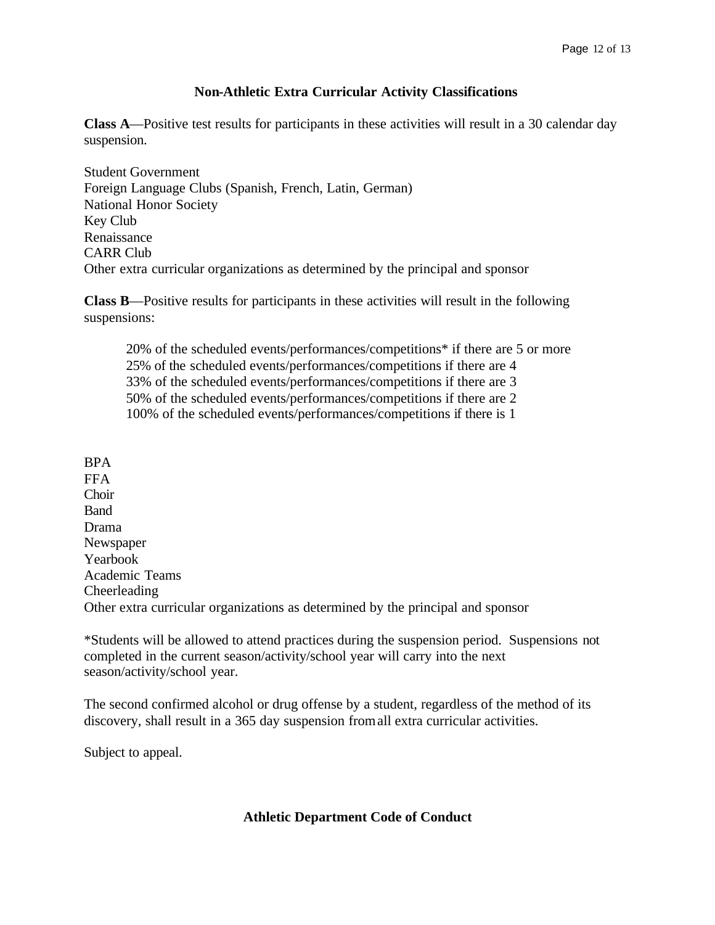#### **Non-Athletic Extra Curricular Activity Classifications**

**Class A**—Positive test results for participants in these activities will result in a 30 calendar day suspension.

Student Government Foreign Language Clubs (Spanish, French, Latin, German) National Honor Society Key Club Renaissance CARR Club Other extra curricular organizations as determined by the principal and sponsor

**Class B**—Positive results for participants in these activities will result in the following suspensions:

20% of the scheduled events/performances/competitions\* if there are 5 or more 25% of the scheduled events/performances/competitions if there are 4 33% of the scheduled events/performances/competitions if there are 3 50% of the scheduled events/performances/competitions if there are 2 100% of the scheduled events/performances/competitions if there is 1

BPA FFA Choir **Band** Drama Newspaper Yearbook Academic Teams Cheerleading Other extra curricular organizations as determined by the principal and sponsor

\*Students will be allowed to attend practices during the suspension period. Suspensions not completed in the current season/activity/school year will carry into the next season/activity/school year.

The second confirmed alcohol or drug offense by a student, regardless of the method of its discovery, shall result in a 365 day suspension from all extra curricular activities.

Subject to appeal.

#### **Athletic Department Code of Conduct**